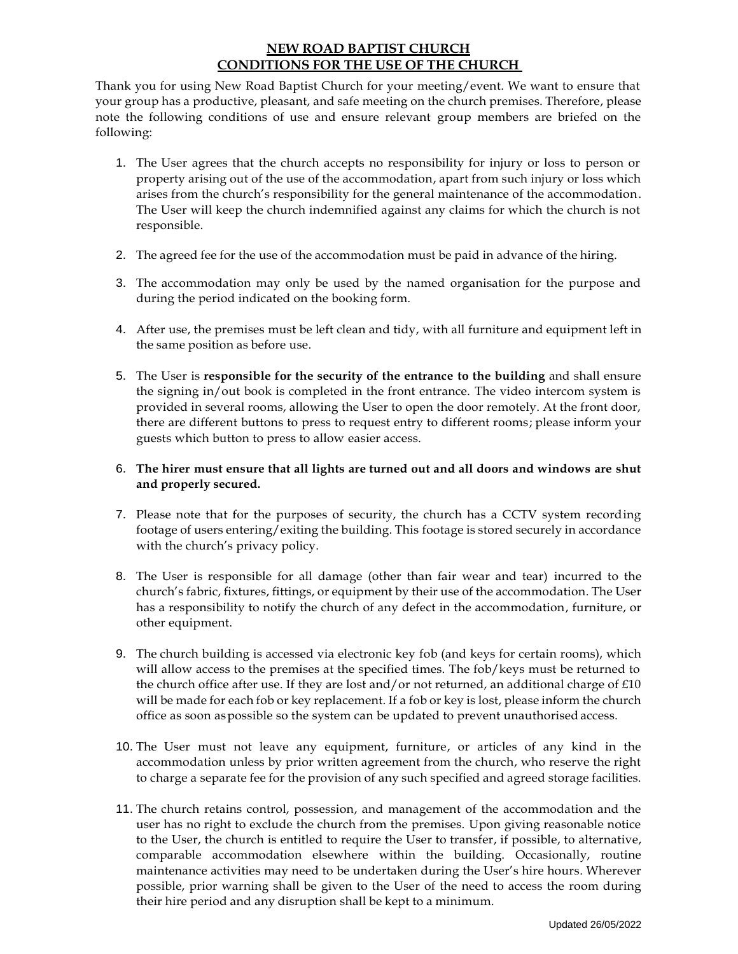### **NEW ROAD BAPTIST CHURCH CONDITIONS FOR THE USE OF THE CHURCH**

Thank you for using New Road Baptist Church for your meeting/event. We want to ensure that your group has a productive, pleasant, and safe meeting on the church premises. Therefore, please note the following conditions of use and ensure relevant group members are briefed on the following:

- 1. The User agrees that the church accepts no responsibility for injury or loss to person or property arising out of the use of the accommodation, apart from such injury or loss which arises from the church's responsibility for the general maintenance of the accommodation. The User will keep the church indemnified against any claims for which the church is not responsible.
- 2. The agreed fee for the use of the accommodation must be paid in advance of the hiring.
- 3. The accommodation may only be used by the named organisation for the purpose and during the period indicated on the booking form.
- 4. After use, the premises must be left clean and tidy, with all furniture and equipment left in the same position as before use.
- 5. The User is **responsible for the security of the entrance to the building** and shall ensure the signing in/out book is completed in the front entrance. The video intercom system is provided in several rooms, allowing the User to open the door remotely. At the front door, there are different buttons to press to request entry to different rooms; please inform your guests which button to press to allow easier access.

#### 6. **The hirer must ensure that all lights are turned out and all doors and windows are shut and properly secured.**

- 7. Please note that for the purposes of security, the church has a CCTV system recording footage of users entering/exiting the building. This footage is stored securely in accordance with the church's privacy policy.
- 8. The User is responsible for all damage (other than fair wear and tear) incurred to the church's fabric, fixtures, fittings, or equipment by their use of the accommodation. The User has a responsibility to notify the church of any defect in the accommodation, furniture, or other equipment.
- 9. The church building is accessed via electronic key fob (and keys for certain rooms), which will allow access to the premises at the specified times. The fob/keys must be returned to the church office after use. If they are lost and/or not returned, an additional charge of  $£10$ will be made for each fob or key replacement. If a fob or key is lost, please inform the church office as soon aspossible so the system can be updated to prevent unauthorised access.
- 10. The User must not leave any equipment, furniture, or articles of any kind in the accommodation unless by prior written agreement from the church, who reserve the right to charge a separate fee for the provision of any such specified and agreed storage facilities.
- 11. The church retains control, possession, and management of the accommodation and the user has no right to exclude the church from the premises. Upon giving reasonable notice to the User, the church is entitled to require the User to transfer, if possible, to alternative, comparable accommodation elsewhere within the building. Occasionally, routine maintenance activities may need to be undertaken during the User's hire hours. Wherever possible, prior warning shall be given to the User of the need to access the room during their hire period and any disruption shall be kept to a minimum.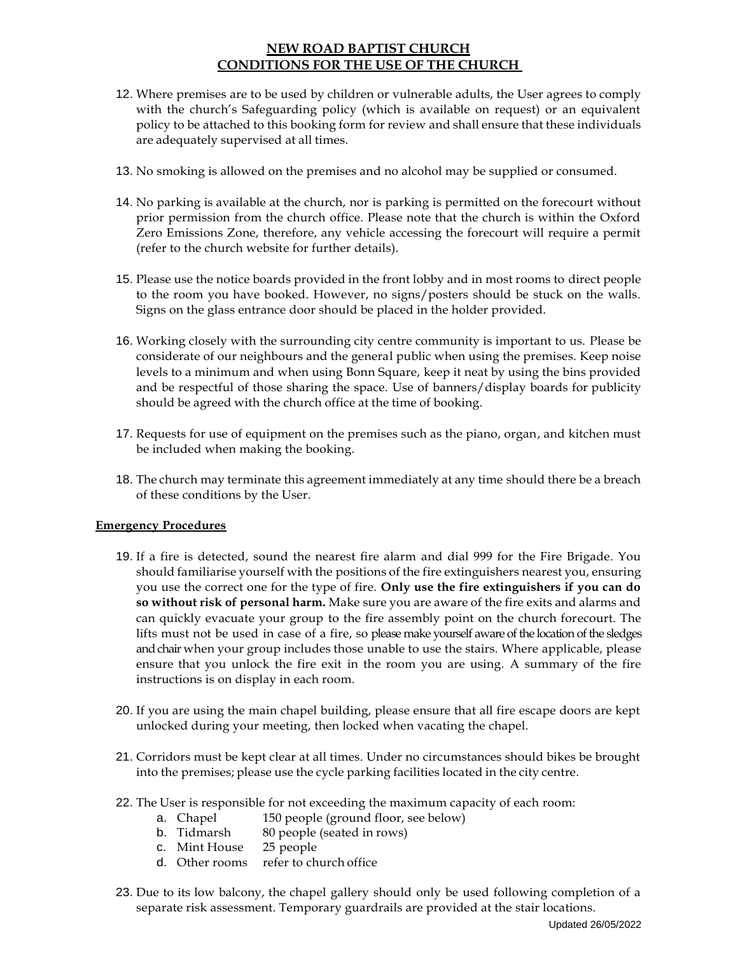### **NEW ROAD BAPTIST CHURCH CONDITIONS FOR THE USE OF THE CHURCH**

- 12. Where premises are to be used by children or vulnerable adults, the User agrees to comply with the church's Safeguarding policy (which is available on request) or an equivalent policy to be attached to this booking form for review and shall ensure that these individuals are adequately supervised at all times.
- 13. No smoking is allowed on the premises and no alcohol may be supplied or consumed.
- 14. No parking is available at the church, nor is parking is permitted on the forecourt without prior permission from the church office. Please note that the church is within the Oxford Zero Emissions Zone, therefore, any vehicle accessing the forecourt will require a permit (refer to the church website for further details).
- 15. Please use the notice boards provided in the front lobby and in most rooms to direct people to the room you have booked. However, no signs/posters should be stuck on the walls. Signs on the glass entrance door should be placed in the holder provided.
- 16. Working closely with the surrounding city centre community is important to us. Please be considerate of our neighbours and the general public when using the premises. Keep noise levels to a minimum and when using Bonn Square, keep it neat by using the bins provided and be respectful of those sharing the space. Use of banners/display boards for publicity should be agreed with the church office at the time of booking.
- 17. Requests for use of equipment on the premises such as the piano, organ, and kitchen must be included when making the booking.
- 18. The church may terminate this agreement immediately at any time should there be a breach of these conditions by the User.

#### **Emergency Procedures**

- 19. If a fire is detected, sound the nearest fire alarm and dial 999 for the Fire Brigade. You should familiarise yourself with the positions of the fire extinguishers nearest you, ensuring you use the correct one for the type of fire. **Only use the fire extinguishers if you can do so without risk of personal harm.** Make sure you are aware of the fire exits and alarms and can quickly evacuate your group to the fire assembly point on the church forecourt. The lifts must not be used in case of a fire, so please make yourself aware of the location of the sledges and chair when your group includes those unable to use the stairs. Where applicable, please ensure that you unlock the fire exit in the room you are using. A summary of the fire instructions is on display in each room.
- 20. If you are using the main chapel building, please ensure that all fire escape doors are kept unlocked during your meeting, then locked when vacating the chapel.
- 21. Corridors must be kept clear at all times. Under no circumstances should bikes be brought into the premises; please use the cycle parking facilities located in the city centre.
- 22. The User is responsible for not exceeding the maximum capacity of each room:
	- a. Chapel 150 people (ground floor, see below)
	- b. Tidmarsh 80 people (seated in rows)
	- c. Mint House 25 people
	- d. Other rooms refer to church office
- 23. Due to its low balcony, the chapel gallery should only be used following completion of a separate risk assessment. Temporary guardrails are provided at the stair locations.

Updated 26/05/2022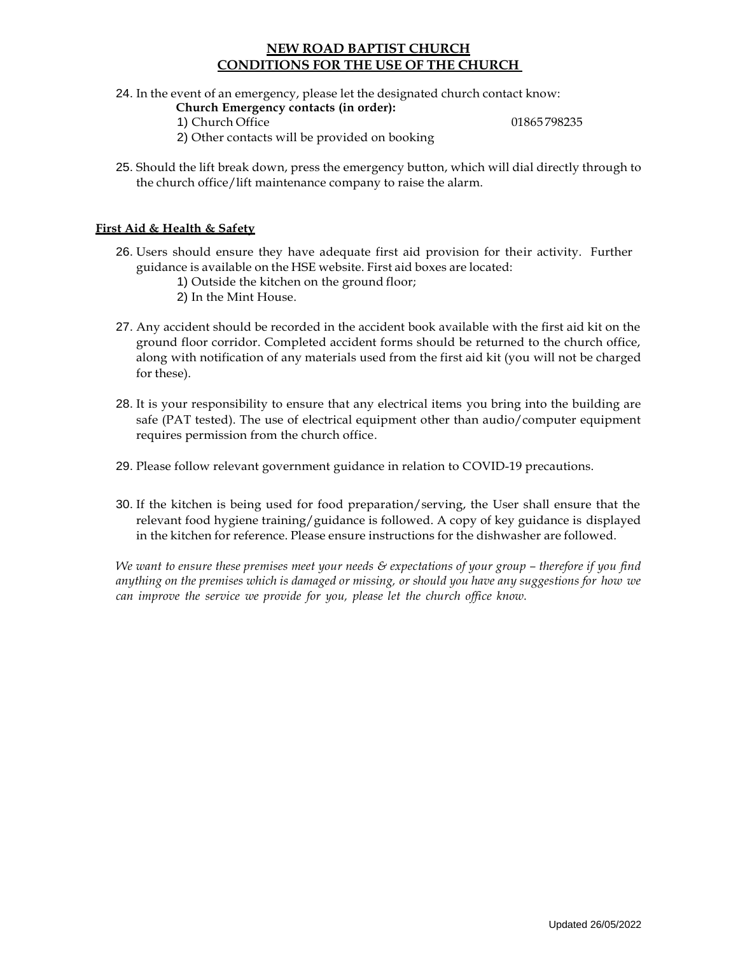#### **NEW ROAD BAPTIST CHURCH CONDITIONS FOR THE USE OF THE CHURCH**

24. In the event of an emergency, please let the designated church contact know:

- **Church Emergency contacts (in order):**
	- 1) Church Office 01865 798235

- 2) Other contacts will be provided on booking
- 25. Should the lift break down, press the emergency button, which will dial directly through to the church office/lift maintenance company to raise the alarm.

#### **First Aid & Health & Safety**

- 26. Users should ensure they have adequate first aid provision for their activity. Further guidance is available on the HSE website. First aid boxes are located:
	- 1) Outside the kitchen on the ground floor;
	- 2) In the Mint House.
- 27. Any accident should be recorded in the accident book available with the first aid kit on the ground floor corridor. Completed accident forms should be returned to the church office, along with notification of any materials used from the first aid kit (you will not be charged for these).
- 28. It is your responsibility to ensure that any electrical items you bring into the building are safe (PAT tested). The use of electrical equipment other than audio/computer equipment requires permission from the church office.
- 29. Please follow relevant government guidance in relation to COVID-19 precautions.
- 30. If the kitchen is being used for food preparation/serving, the User shall ensure that the relevant food hygiene training/guidance is followed. A copy of key guidance is displayed in the kitchen for reference. Please ensure instructions for the dishwasher are followed.

*We want to ensure these premises meet your needs & expectations of your group – therefore if you find anything on the premises which is damaged or missing, or should you have any suggestions for how we can improve the service we provide for you, please let the church office know.*